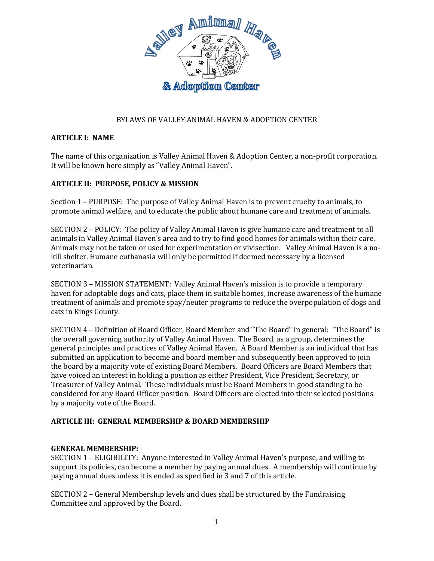

# BYLAWS OF VALLEY ANIMAL HAVEN & ADOPTION CENTER

## **ARTICLE I: NAME**

The name of this organization is Valley Animal Haven & Adoption Center, a non-profit corporation. It will be known here simply as "Valley Animal Haven".

### **ARTICLE II: PURPOSE, POLICY & MISSION**

Section 1 – PURPOSE: The purpose of Valley Animal Haven is to prevent cruelty to animals, to promote animal welfare, and to educate the public about humane care and treatment of animals.

SECTION 2 – POLICY: The policy of Valley Animal Haven is give humane care and treatment to all animals in Valley Animal Haven's area and to try to find good homes for animals within their care. Animals may not be taken or used for experimentation or vivisection. Valley Animal Haven is a nokill shelter. Humane euthanasia will only be permitted if deemed necessary by a licensed veterinarian.

SECTION 3 – MISSION STATEMENT: Valley Animal Haven's mission is to provide a temporary haven for adoptable dogs and cats, place them in suitable homes, increase awareness of the humane treatment of animals and promote spay/neuter programs to reduce the overpopulation of dogs and cats in Kings County.

SECTION 4 – Definition of Board Officer, Board Member and "The Board" in general: "The Board" is the overall governing authority of Valley Animal Haven. The Board, as a group, determines the general principles and practices of Valley Animal Haven. A Board Member is an individual that has submitted an application to become and board member and subsequently been approved to join the board by a majority vote of existing Board Members. Board Officers are Board Members that have voiced an interest in holding a position as either President, Vice President, Secretary, or Treasurer of Valley Animal. These individuals must be Board Members in good standing to be considered for any Board Officer position. Board Officers are elected into their selected positions by a majority vote of the Board.

#### **ARTICLE III: GENERAL MEMBERSHIP & BOARD MEMBERSHIP**

## **GENERAL MEMBERSHIP:**

SECTION 1 – ELIGIBILITY: Anyone interested in Valley Animal Haven's purpose, and willing to support its policies, can become a member by paying annual dues. A membership will continue by paying annual dues unless it is ended as specified in 3 and 7 of this article.

SECTION 2 – General Membership levels and dues shall be structured by the Fundraising Committee and approved by the Board.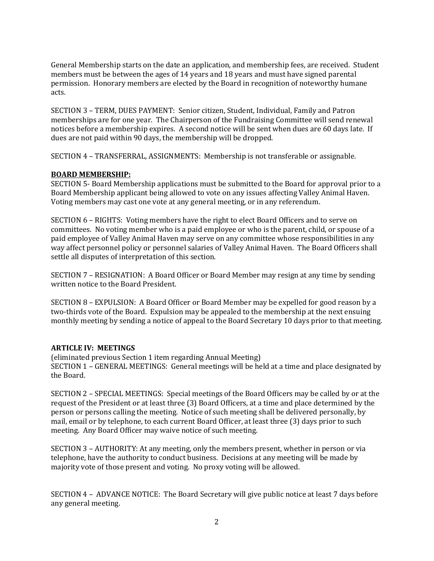General Membership starts on the date an application, and membership fees, are received. Student members must be between the ages of 14 years and 18 years and must have signed parental permission. Honorary members are elected by the Board in recognition of noteworthy humane acts.

SECTION 3 – TERM, DUES PAYMENT: Senior citizen, Student, Individual, Family and Patron memberships are for one year. The Chairperson of the Fundraising Committee will send renewal notices before a membership expires. A second notice will be sent when dues are 60 days late. If dues are not paid within 90 days, the membership will be dropped.

SECTION 4 – TRANSFERRAL, ASSIGNMENTS: Membership is not transferable or assignable.

### **BOARD MEMBERSHIP:**

SECTION 5- Board Membership applications must be submitted to the Board for approval prior to a Board Membership applicant being allowed to vote on any issues affecting Valley Animal Haven. Voting members may cast one vote at any general meeting, or in any referendum.

SECTION 6 – RIGHTS: Voting members have the right to elect Board Officers and to serve on committees. No voting member who is a paid employee or who is the parent, child, or spouse of a paid employee of Valley Animal Haven may serve on any committee whose responsibilities in any way affect personnel policy or personnel salaries of Valley Animal Haven. The Board Officers shall settle all disputes of interpretation of this section.

SECTION 7 – RESIGNATION: A Board Officer or Board Member may resign at any time by sending written notice to the Board President.

SECTION 8 – EXPULSION: A Board Officer or Board Member may be expelled for good reason by a two-thirds vote of the Board. Expulsion may be appealed to the membership at the next ensuing monthly meeting by sending a notice of appeal to the Board Secretary 10 days prior to that meeting.

#### **ARTICLE IV: MEETINGS**

(eliminated previous Section 1 item regarding Annual Meeting) SECTION 1 – GENERAL MEETINGS: General meetings will be held at a time and place designated by the Board.

SECTION 2 – SPECIAL MEETINGS: Special meetings of the Board Officers may be called by or at the request of the President or at least three (3) Board Officers, at a time and place determined by the person or persons calling the meeting. Notice of such meeting shall be delivered personally, by mail, email or by telephone, to each current Board Officer, at least three (3) days prior to such meeting. Any Board Officer may waive notice of such meeting.

SECTION 3 – AUTHORITY: At any meeting, only the members present, whether in person or via telephone, have the authority to conduct business. Decisions at any meeting will be made by majority vote of those present and voting. No proxy voting will be allowed.

SECTION 4 – ADVANCE NOTICE: The Board Secretary will give public notice at least 7 days before any general meeting.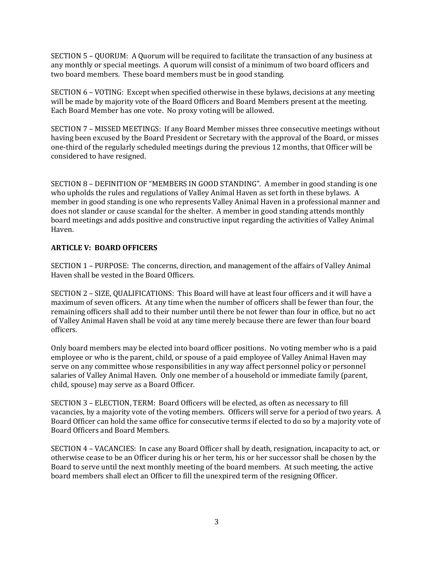SECTION 5 – QUORUM: A Quorum will be required to facilitate the transaction of any business at any monthly or special meetings. A quorum will consist of a minimum of two board officers and two board members. These board members must be in good standing.

SECTION 6 – VOTING: Except when specified otherwise in these bylaws, decisions at any meeting will be made by majority vote of the Board Officers and Board Members present at the meeting. Each Board Member has one vote. No proxy voting will be allowed.

SECTION 7 – MISSED MEETINGS: If any Board Member misses three consecutive meetings without having been excused by the Board President or Secretary with the approval of the Board, or misses one-third of the regularly scheduled meetings during the previous 12 months, that Officer will be considered to have resigned.

SECTION 8 – DEFINITION OF "MEMBERS IN GOOD STANDING". A member in good standing is one who upholds the rules and regulations of Valley Animal Haven as set forth in these bylaws. A member in good standing is one who represents Valley Animal Haven in a professional manner and does not slander or cause scandal for the shelter. A member in good standing attends monthly board meetings and adds positive and constructive input regarding the activities of Valley Animal Haven.

# **ARTICLE V: BOARD OFFICERS**

SECTION 1 – PURPOSE: The concerns, direction, and management of the affairs of Valley Animal Haven shall be vested in the Board Officers.

SECTION 2 – SIZE, QUALIFICATIONS: This Board will have at least four officers and it will have a maximum of seven officers. At any time when the number of officers shall be fewer than four, the remaining officers shall add to their number until there be not fewer than four in office, but no act of Valley Animal Haven shall be void at any time merely because there are fewer than four board officers.

Only board members may be elected into board officer positions. No voting member who is a paid employee or who is the parent, child, or spouse of a paid employee of Valley Animal Haven may serve on any committee whose responsibilities in any way affect personnel policy or personnel salaries of Valley Animal Haven. Only one member of a household or immediate family (parent, child, spouse) may serve as a Board Officer.

SECTION 3 – ELECTION, TERM: Board Officers will be elected, as often as necessary to fill vacancies, by a majority vote of the voting members. Officers will serve for a period of two years. A Board Officer can hold the same office for consecutive terms if elected to do so by a majority vote of Board Officers and Board Members.

SECTION 4 – VACANCIES: In case any Board Officer shall by death, resignation, incapacity to act, or otherwise cease to be an Officer during his or her term, his or her successor shall be chosen by the Board to serve until the next monthly meeting of the board members. At such meeting, the active board members shall elect an Officer to fill the unexpired term of the resigning Officer.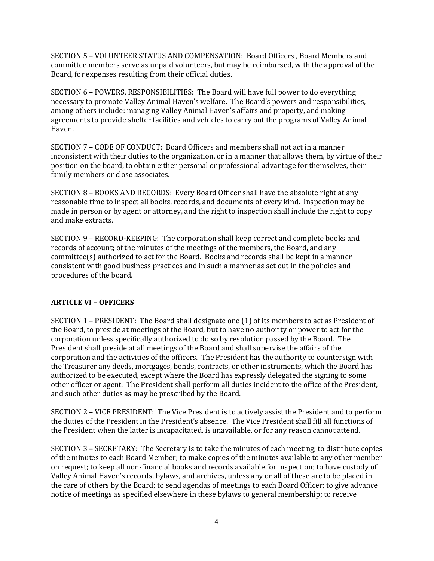SECTION 5 – VOLUNTEER STATUS AND COMPENSATION: Board Officers , Board Members and committee members serve as unpaid volunteers, but may be reimbursed, with the approval of the Board, for expenses resulting from their official duties.

SECTION 6 – POWERS, RESPONSIBILITIES: The Board will have full power to do everything necessary to promote Valley Animal Haven's welfare. The Board's powers and responsibilities, among others include: managing Valley Animal Haven's affairs and property, and making agreements to provide shelter facilities and vehicles to carry out the programs of Valley Animal Haven.

SECTION 7 – CODE OF CONDUCT: Board Officers and members shall not act in a manner inconsistent with their duties to the organization, or in a manner that allows them, by virtue of their position on the board, to obtain either personal or professional advantage for themselves, their family members or close associates.

SECTION 8 – BOOKS AND RECORDS: Every Board Officer shall have the absolute right at any reasonable time to inspect all books, records, and documents of every kind. Inspection may be made in person or by agent or attorney, and the right to inspection shall include the right to copy and make extracts.

SECTION 9 – RECORD-KEEPING: The corporation shall keep correct and complete books and records of account; of the minutes of the meetings of the members, the Board, and any committee(s) authorized to act for the Board. Books and records shall be kept in a manner consistent with good business practices and in such a manner as set out in the policies and procedures of the board.

## **ARTICLE VI – OFFICERS**

SECTION 1 – PRESIDENT: The Board shall designate one (1) of its members to act as President of the Board, to preside at meetings of the Board, but to have no authority or power to act for the corporation unless specifically authorized to do so by resolution passed by the Board. The President shall preside at all meetings of the Board and shall supervise the affairs of the corporation and the activities of the officers. The President has the authority to countersign with the Treasurer any deeds, mortgages, bonds, contracts, or other instruments, which the Board has authorized to be executed, except where the Board has expressly delegated the signing to some other officer or agent. The President shall perform all duties incident to the office of the President, and such other duties as may be prescribed by the Board.

SECTION 2 – VICE PRESIDENT: The Vice President is to actively assist the President and to perform the duties of the President in the President's absence. The Vice President shall fill all functions of the President when the latter is incapacitated, is unavailable, or for any reason cannot attend.

SECTION 3 – SECRETARY: The Secretary is to take the minutes of each meeting; to distribute copies of the minutes to each Board Member; to make copies of the minutes available to any other member on request; to keep all non-financial books and records available for inspection; to have custody of Valley Animal Haven's records, bylaws, and archives, unless any or all of these are to be placed in the care of others by the Board; to send agendas of meetings to each Board Officer; to give advance notice of meetings as specified elsewhere in these bylaws to general membership; to receive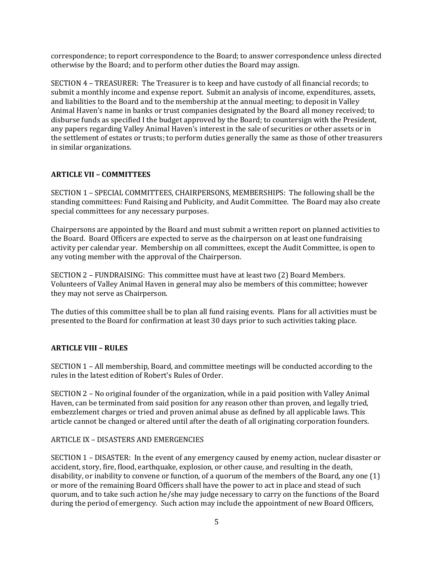correspondence; to report correspondence to the Board; to answer correspondence unless directed otherwise by the Board; and to perform other duties the Board may assign.

SECTION 4 – TREASURER: The Treasurer is to keep and have custody of all financial records; to submit a monthly income and expense report. Submit an analysis of income, expenditures, assets, and liabilities to the Board and to the membership at the annual meeting; to deposit in Valley Animal Haven's name in banks or trust companies designated by the Board all money received; to disburse funds as specified I the budget approved by the Board; to countersign with the President, any papers regarding Valley Animal Haven's interest in the sale of securities or other assets or in the settlement of estates or trusts; to perform duties generally the same as those of other treasurers in similar organizations.

## **ARTICLE VII – COMMITTEES**

SECTION 1 – SPECIAL COMMITTEES, CHAIRPERSONS, MEMBERSHIPS: The following shall be the standing committees: Fund Raising and Publicity, and Audit Committee. The Board may also create special committees for any necessary purposes.

Chairpersons are appointed by the Board and must submit a written report on planned activities to the Board. Board Officers are expected to serve as the chairperson on at least one fundraising activity per calendar year. Membership on all committees, except the Audit Committee, is open to any voting member with the approval of the Chairperson.

SECTION 2 – FUNDRAISING: This committee must have at least two (2) Board Members. Volunteers of Valley Animal Haven in general may also be members of this committee; however they may not serve as Chairperson.

The duties of this committee shall be to plan all fund raising events. Plans for all activities must be presented to the Board for confirmation at least 30 days prior to such activities taking place.

#### **ARTICLE VIII – RULES**

SECTION 1 – All membership, Board, and committee meetings will be conducted according to the rules in the latest edition of Robert's Rules of Order.

SECTION 2 – No original founder of the organization, while in a paid position with Valley Animal Haven, can be terminated from said position for any reason other than proven, and legally tried, embezzlement charges or tried and proven animal abuse as defined by all applicable laws. This article cannot be changed or altered until after the death of all originating corporation founders.

#### ARTICLE IX – DISASTERS AND EMERGENCIES

SECTION 1 – DISASTER: In the event of any emergency caused by enemy action, nuclear disaster or accident, story, fire, flood, earthquake, explosion, or other cause, and resulting in the death, disability, or inability to convene or function, of a quorum of the members of the Board, any one (1) or more of the remaining Board Officers shall have the power to act in place and stead of such quorum, and to take such action he/she may judge necessary to carry on the functions of the Board during the period of emergency. Such action may include the appointment of new Board Officers,